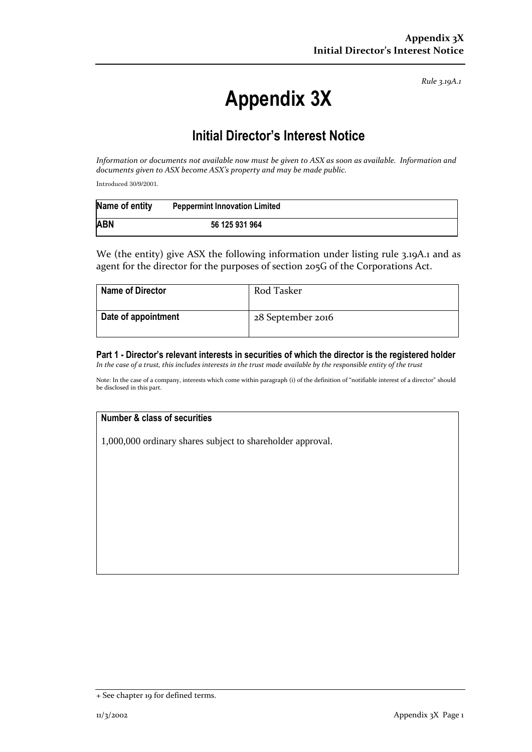*Rule 3.19A.1*

# **Appendix 3X**

## **Initial Director's Interest Notice**

*Information or documents not available now must be given to ASX as soon as available. Information and documents given to ASX become ASX's property and may be made public.*

Introduced 30/9/2001.

| Name of entity | <b>Peppermint Innovation Limited</b> |
|----------------|--------------------------------------|
| <b>ABN</b>     | 56 125 931 964                       |

We (the entity) give ASX the following information under listing rule 3.19A.1 and as agent for the director for the purposes of section 205G of the Corporations Act.

| <b>Name of Director</b> | Rod Tasker        |
|-------------------------|-------------------|
| Date of appointment     | 28 September 2016 |

#### **Part 1 - Director's relevant interests in securities of which the director is the registered holder** *In the case of a trust, this includes interests in the trust made available by the responsible entity of the trust*

Note: In the case of a company, interests which come within paragraph (i) of the definition of "notifiable interest of a director" should be disclosed in this part.

### **Number & class of securities**

1,000,000 ordinary shares subject to shareholder approval.

<sup>+</sup> See chapter 19 for defined terms.